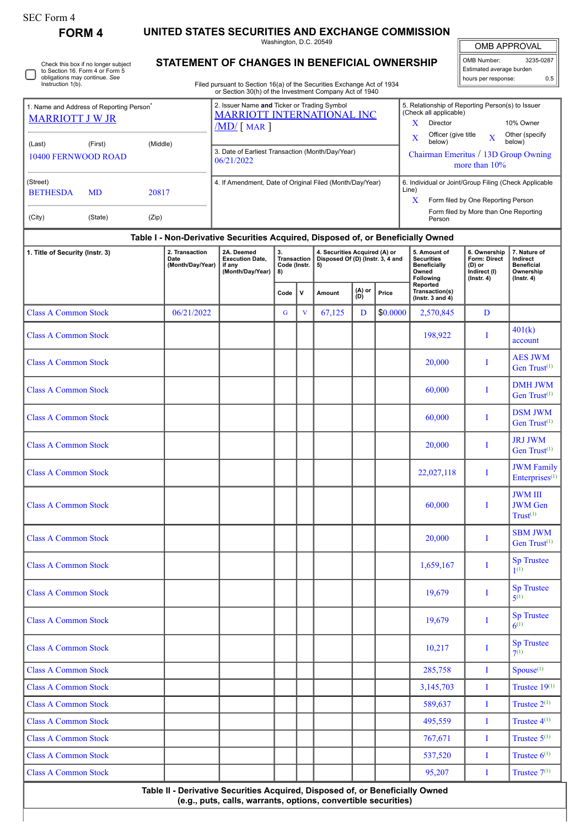| SEC Form 4 |
|------------|
|------------|

**FORM 4 UNITED STATES SECURITIES AND EXCHANGE COMMISSION** Washington, D.C. 20549

|  | Check this box if no longer subject<br>to Section 16. Form 4 or Form 5<br>obligations may continue. See<br>Instruction 1(b). |
|--|------------------------------------------------------------------------------------------------------------------------------|
|--|------------------------------------------------------------------------------------------------------------------------------|

## **STATEMENT OF CHANGES IN BENEFICIAL OWNERSHIP**

Filed pursuant to Section 16(a) of the Securities Exchange Act of 1934 or Section 30(h) of the Investment Company Act of 1940

| <b>OMB APPROVAL</b>      |     |  |  |  |  |  |  |  |  |  |  |  |
|--------------------------|-----|--|--|--|--|--|--|--|--|--|--|--|
| OMB Number:<br>3235-0287 |     |  |  |  |  |  |  |  |  |  |  |  |
| Estimated average burden |     |  |  |  |  |  |  |  |  |  |  |  |
| hours per response:      | ሰ 5 |  |  |  |  |  |  |  |  |  |  |  |

|                                                                                |                                |                                                                                                                             |                                            | Cootion Collin of the invecting it company not of 1010                           |                                                        |   |                                                                                                                                                                                             |               |                                                                              |                                                                                                                                                              |                                                                                     |                                                                                |  |
|--------------------------------------------------------------------------------|--------------------------------|-----------------------------------------------------------------------------------------------------------------------------|--------------------------------------------|----------------------------------------------------------------------------------|--------------------------------------------------------|---|---------------------------------------------------------------------------------------------------------------------------------------------------------------------------------------------|---------------|------------------------------------------------------------------------------|--------------------------------------------------------------------------------------------------------------------------------------------------------------|-------------------------------------------------------------------------------------|--------------------------------------------------------------------------------|--|
| 1. Name and Address of Reporting Person <sup>®</sup><br><b>MARRIOTT J W JR</b> |                                | 2. Issuer Name and Ticker or Trading Symbol<br><b>MARRIOTT INTERNATIONAL INC</b><br>$\sqrt{\text{MD}}$ $\boxed{\text{MAR}}$ |                                            |                                                                                  |                                                        |   | 5. Relationship of Reporting Person(s) to Issuer<br>(Check all applicable)<br>x<br>10% Owner<br>Director<br>Officer (give title<br>Other (specify<br>$\overline{\mathbf{X}}$<br>$\mathbf x$ |               |                                                                              |                                                                                                                                                              |                                                                                     |                                                                                |  |
| (Last)                                                                         | (First)<br>10400 FERNWOOD ROAD | (Middle)                                                                                                                    |                                            | 3. Date of Earliest Transaction (Month/Day/Year)<br>06/21/2022                   |                                                        |   |                                                                                                                                                                                             |               | below)<br>below)<br>Chairman Emeritus / 13D Group Owning<br>more than $10\%$ |                                                                                                                                                              |                                                                                     |                                                                                |  |
| (Street)<br><b>BETHESDA</b><br>(City)                                          | <b>MD</b><br>(State)           | 20817<br>(Zip)                                                                                                              |                                            | 4. If Amendment, Date of Original Filed (Month/Day/Year)                         |                                                        |   |                                                                                                                                                                                             |               |                                                                              | 6. Individual or Joint/Group Filing (Check Applicable<br>Line)<br>X<br>Form filed by One Reporting Person<br>Form filed by More than One Reporting<br>Person |                                                                                     |                                                                                |  |
|                                                                                |                                |                                                                                                                             |                                            | Table I - Non-Derivative Securities Acquired, Disposed of, or Beneficially Owned |                                                        |   |                                                                                                                                                                                             |               |                                                                              |                                                                                                                                                              |                                                                                     |                                                                                |  |
| 1. Title of Security (Instr. 3)                                                |                                |                                                                                                                             | 2. Transaction<br>Date<br>(Month/Day/Year) | 2A. Deemed<br><b>Execution Date.</b><br>if any<br>(Month/Day/Year)               | 3.<br><b>Transaction</b><br>Code (Instr.<br>8)<br>Code | v | 4. Securities Acquired (A) or<br>Disposed Of (D) (Instr. 3, 4 and<br>5)<br>Amount                                                                                                           | (A) or<br>(D) | Price                                                                        | 5. Amount of<br><b>Securities</b><br>Beneficially<br>Owned<br><b>Following</b><br>Reported<br>Transaction(s)<br>$($ lnetr $3$ and $($                        | 6. Ownership<br><b>Form: Direct</b><br>$(D)$ or<br>Indirect (I)<br>$($ lnstr. 4 $)$ | 7. Nature of<br>Indirect<br><b>Beneficial</b><br>Ownership<br>$($ lnstr. 4 $)$ |  |

|                             |            | Code        | $\mathbf v$             | Amount | (A) or<br>(D) | Price    | Transaction(s)<br>(Instr. $3$ and $4$ ) |          |                                                          |
|-----------------------------|------------|-------------|-------------------------|--------|---------------|----------|-----------------------------------------|----------|----------------------------------------------------------|
| <b>Class A Common Stock</b> | 06/21/2022 | $\mathbf G$ | $\overline{\mathbf{V}}$ | 67,125 | D             | \$0.0000 | 2,570,845                               | D        |                                                          |
| <b>Class A Common Stock</b> |            |             |                         |        |               |          | 198,922                                 | I        | 401(k)<br>account                                        |
| <b>Class A Common Stock</b> |            |             |                         |        |               |          | 20,000                                  | I        | <b>AES JWM</b><br>Gen Trust <sup>(1)</sup>               |
| <b>Class A Common Stock</b> |            |             |                         |        |               |          | 60,000                                  | I        | <b>DMH JWM</b><br>Gen Trust $(1)$                        |
| <b>Class A Common Stock</b> |            |             |                         |        |               |          | 60,000                                  | I        | <b>DSM JWM</b><br>Gen Trust <sup>(1)</sup>               |
| <b>Class A Common Stock</b> |            |             |                         |        |               |          | 20,000                                  | I        | <b>JRJ JWM</b><br>Gen Trust <sup>(1)</sup>               |
| <b>Class A Common Stock</b> |            |             |                         |        |               |          | 22,027,118                              | $\bf{I}$ | <b>JWM</b> Family<br>Enterprises <sup>(1)</sup>          |
| <b>Class A Common Stock</b> |            |             |                         |        |               |          | 60,000                                  | I        | <b>JWM III</b><br><b>JWM</b> Gen<br>Trust <sup>(1)</sup> |
| <b>Class A Common Stock</b> |            |             |                         |        |               |          | 20,000                                  | I        | <b>SBM JWM</b><br>Gen Trust <sup>(1)</sup>               |
| <b>Class A Common Stock</b> |            |             |                         |        |               |          | 1,659,167                               | $\bf{I}$ | <b>Sp Trustee</b><br>1(1)                                |
| <b>Class A Common Stock</b> |            |             |                         |        |               |          | 19,679                                  | I        | <b>Sp Trustee</b><br>$5^{(1)}$                           |
| <b>Class A Common Stock</b> |            |             |                         |        |               |          | 19,679                                  | $\bf{I}$ | <b>Sp Trustee</b><br>$6^{(1)}$                           |
| <b>Class A Common Stock</b> |            |             |                         |        |               |          | 10,217                                  | I        | <b>Sp Trustee</b><br>$7^{(1)}$                           |
| <b>Class A Common Stock</b> |            |             |                         |        |               |          | 285,758                                 | $\bf{I}$ | Spouse <sup>(1)</sup>                                    |
| <b>Class A Common Stock</b> |            |             |                         |        |               |          | 3,145,703                               | $\bf{I}$ | Trustee $19^{(1)}$                                       |
| <b>Class A Common Stock</b> |            |             |                         |        |               |          | 589,637                                 | $\bf{I}$ | Trustee $2^{(1)}$                                        |
| <b>Class A Common Stock</b> |            |             |                         |        |               |          | 495,559                                 | $\bf{I}$ | Trustee $4^{(1)}$                                        |
| <b>Class A Common Stock</b> |            |             |                         |        |               |          | 767,671                                 | $\bf{I}$ | Trustee $5^{(1)}$                                        |
| <b>Class A Common Stock</b> |            |             |                         |        |               |          | 537,520                                 | $\bf{I}$ | Trustee $6^{(1)}$                                        |
| <b>Class A Common Stock</b> |            |             |                         |        |               |          | 95,207                                  | $\bf{I}$ | Trustee $7^{(1)}$                                        |

**Table II - Derivative Securities Acquired, Disposed of, or Beneficially Owned (e.g., puts, calls, warrants, options, convertible securities)**